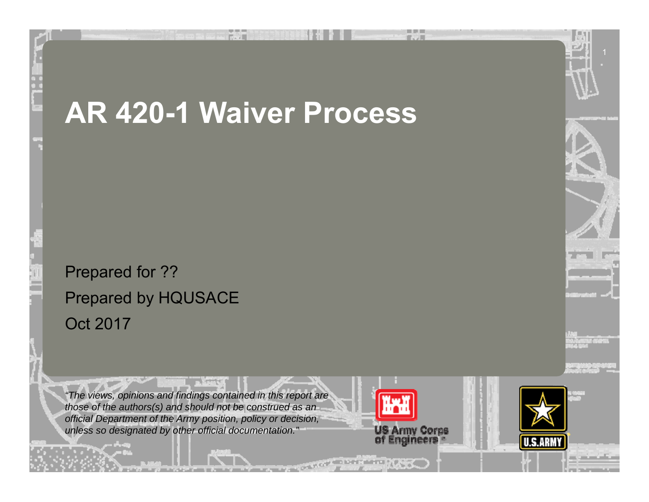# **AR 420-1 Waiver Process**

Prepared for ?? Prepared by HQUSACE Oct 2017

*"The views, opinions and findings contained in this report are those of the authors(s) and should not be construed as an official Department of the Army position, policy or decision, unless so designated by other official documentation."*

 $+ + + +$ 



11 韓國大学 (1)



U.S.ARI



1

and the first state of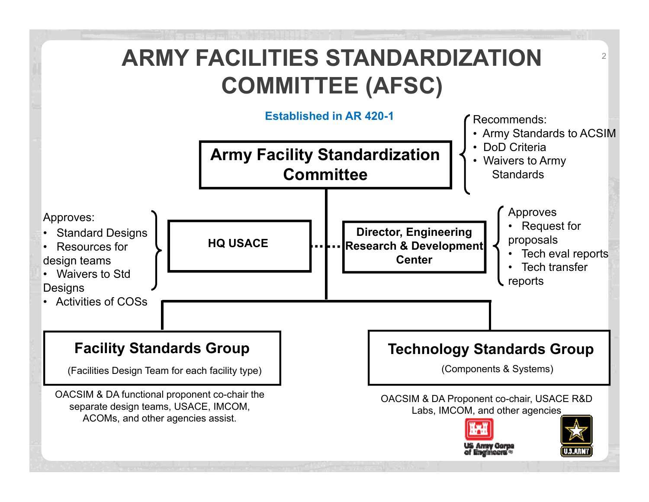### **ARMY FACILITIES STANDARDIZATION COMMITTEE (AFSC)**

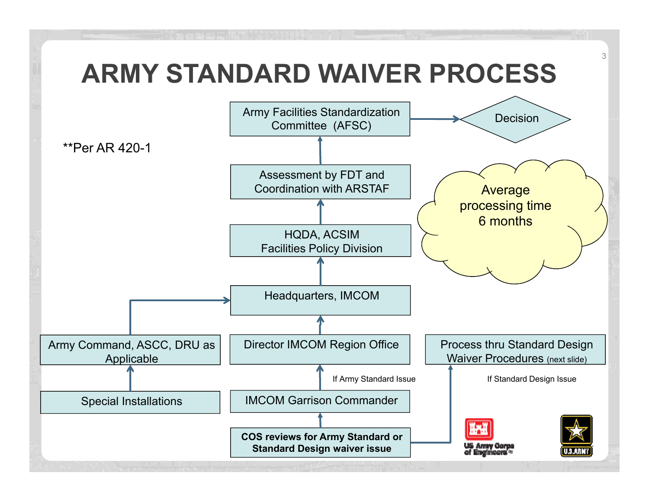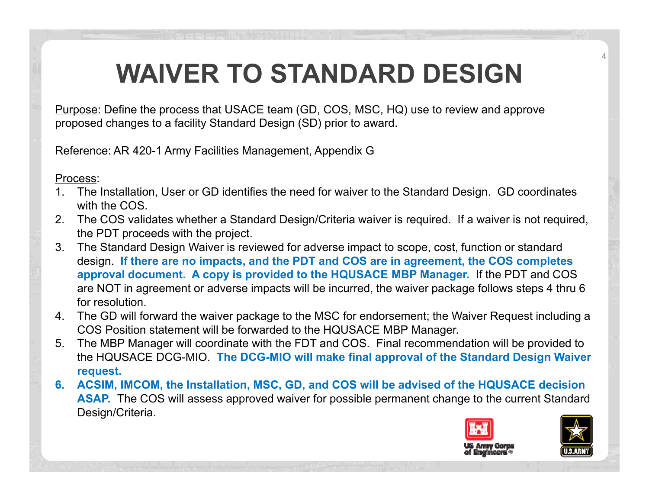## **WAIVER TO STANDARD DESIGN**

Purpose: Define the process that USACE team (GD, COS, MSC, HQ) use to review and approve proposed changes to a facility Standard Design (SD) prior to award.

Reference: AR 420-1 Army Facilities Management, Appendix G

Process:

- 1. The Installation, User or GD identifies the need for waiver to the Standard Design. GD coordinates with the COS.
- 2. The COS validates whether a Standard Design/Criteria waiver is required. If a waiver is not required, the PDT proceeds with the project.
- 3. The Standard Design Waiver is reviewed for adverse impact to scope, cost, function or standard design. **If there are no impacts, and the PDT and COS are in agreement, the COS completes approval document. A copy is provided to the HQUSACE MBP Manager.** If the PDT and COS are NOT in agreement or adverse impacts will be incurred, the waiver package follows steps 4 thru 6 for resolution.
- 4. The GD will forward the waiver package to the MSC for endorsement; the Waiver Request including a COS Position statement will be forwarded to the HQUSACE MBP Manager.
- 5. The MBP Manager will coordinate with the FDT and COS. Final recommendation will be provided to the HQUSACE DCG-MIO. **The DCG-MIO will make final approval of the Standard Design Waiver request.**
- **6. ACSIM, IMCOM, the Installation, MSC, GD, and COS will be advised of the HQUSACE decision ASAP.** The COS will assess approved waiver for possible permanent change to the current Standard Design/Criteria.



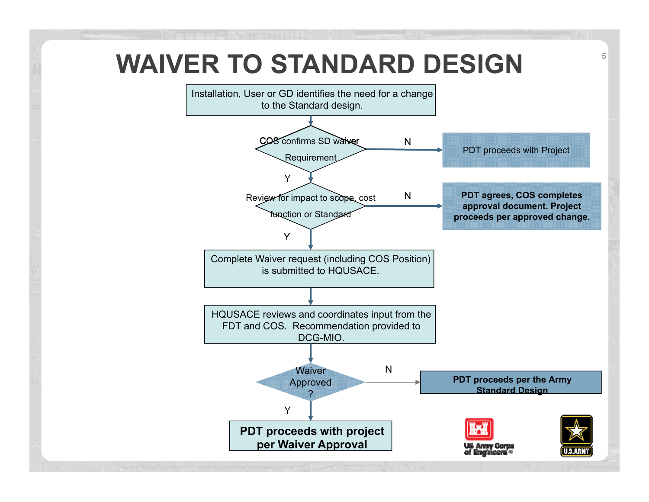## **WAIVER TO STANDARD DESIGN THE STANDARD DESIGN THE**

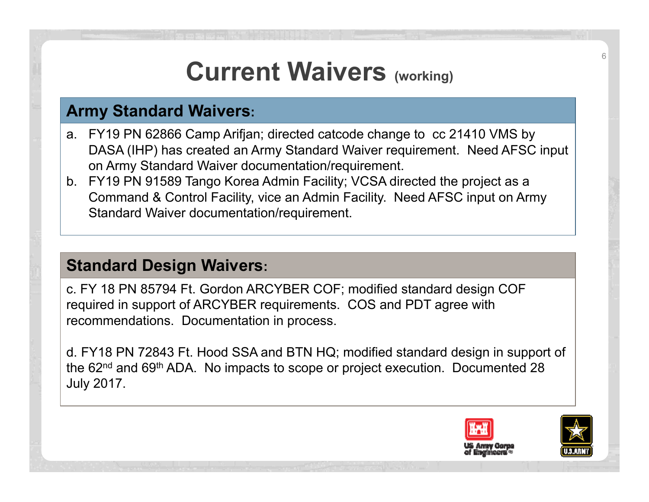## **Current Waivers (working)**

#### **Army Standard Waivers:**

- a. FY19 PN 62866 Camp Arifjan; directed catcode change to cc 21410 VMS by DASA (IHP) has created an Army Standard Waiver requirement. Need AFSC input on Army Standard Waiver documentation/requirement.
- b. FY19 PN 91589 Tango Korea Admin Facility; VCSA directed the project as a Command & Control Facility, vice an Admin Facility. Need AFSC input on Army Standard Waiver documentation/requirement.

#### **Standard Design Waivers:**

c. FY 18 PN 85794 Ft. Gordon ARCYBER COF; modified standard design COF required in support of ARCYBER requirements. COS and PDT agree with recommendations. Documentation in process.

d. FY18 PN 72843 Ft. Hood SSA and BTN HQ; modified standard design in support of the 62<sup>nd</sup> and 69<sup>th</sup> ADA. No impacts to scope or project execution. Documented 28 July 2017.



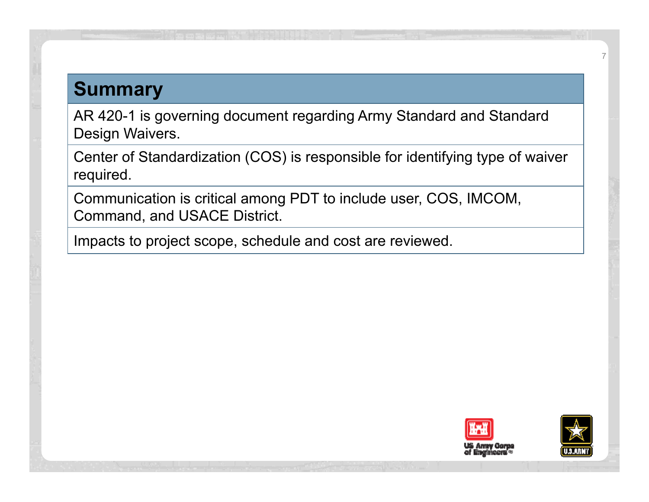### **Summary**

AR 420-1 is governing document regarding Army Standard and Standard Design Waivers.

Center of Standardization (COS) is responsible for identifying type of waiver required.

Communication is critical among PDT to include user, COS, IMCOM, Command, and USACE District.

Impacts to project scope, schedule and cost are reviewed.